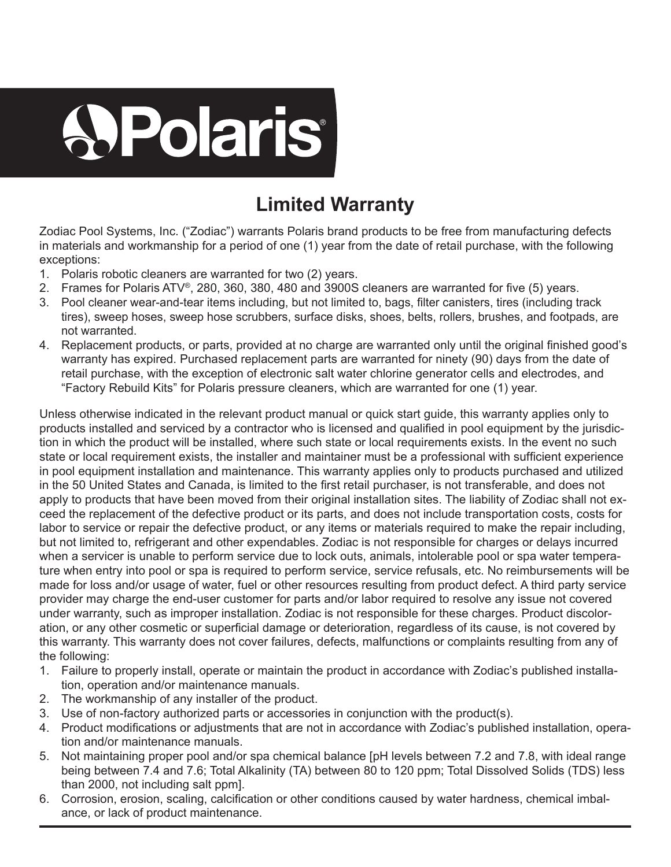## **APolaris**

## **Limited Warranty**

Zodiac Pool Systems, Inc. ("Zodiac") warrants Polaris brand products to be free from manufacturing defects in materials and workmanship for a period of one (1) year from the date of retail purchase, with the following exceptions:

- 1. Polaris robotic cleaners are warranted for two (2) years.
- 2. Frames for Polaris ATV®, 280, 360, 380, 480 and 3900S cleaners are warranted for five (5) years.
- 3. Pool cleaner wear-and-tear items including, but not limited to, bags, filter canisters, tires (including track tires), sweep hoses, sweep hose scrubbers, surface disks, shoes, belts, rollers, brushes, and footpads, are not warranted.
- 4. Replacement products, or parts, provided at no charge are warranted only until the original finished good's warranty has expired. Purchased replacement parts are warranted for ninety (90) days from the date of retail purchase, with the exception of electronic salt water chlorine generator cells and electrodes, and "Factory Rebuild Kits" for Polaris pressure cleaners, which are warranted for one (1) year.

Unless otherwise indicated in the relevant product manual or quick start guide, this warranty applies only to products installed and serviced by a contractor who is licensed and qualified in pool equipment by the jurisdiction in which the product will be installed, where such state or local requirements exists. In the event no such state or local requirement exists, the installer and maintainer must be a professional with sufficient experience in pool equipment installation and maintenance. This warranty applies only to products purchased and utilized in the 50 United States and Canada, is limited to the first retail purchaser, is not transferable, and does not apply to products that have been moved from their original installation sites. The liability of Zodiac shall not exceed the replacement of the defective product or its parts, and does not include transportation costs, costs for labor to service or repair the defective product, or any items or materials required to make the repair including, but not limited to, refrigerant and other expendables. Zodiac is not responsible for charges or delays incurred when a servicer is unable to perform service due to lock outs, animals, intolerable pool or spa water temperature when entry into pool or spa is required to perform service, service refusals, etc. No reimbursements will be made for loss and/or usage of water, fuel or other resources resulting from product defect. A third party service provider may charge the end-user customer for parts and/or labor required to resolve any issue not covered under warranty, such as improper installation. Zodiac is not responsible for these charges. Product discoloration, or any other cosmetic or superficial damage or deterioration, regardless of its cause, is not covered by this warranty. This warranty does not cover failures, defects, malfunctions or complaints resulting from any of the following:

- 1. Failure to properly install, operate or maintain the product in accordance with Zodiac's published installation, operation and/or maintenance manuals.
- 2. The workmanship of any installer of the product.
- 3. Use of non-factory authorized parts or accessories in conjunction with the product(s).
- 4. Product modifications or adjustments that are not in accordance with Zodiac's published installation, operation and/or maintenance manuals.
- 5. Not maintaining proper pool and/or spa chemical balance [pH levels between 7.2 and 7.8, with ideal range being between 7.4 and 7.6; Total Alkalinity (TA) between 80 to 120 ppm; Total Dissolved Solids (TDS) less than 2000, not including salt ppm].
- 6. Corrosion, erosion, scaling, calcification or other conditions caused by water hardness, chemical imbalance, or lack of product maintenance.